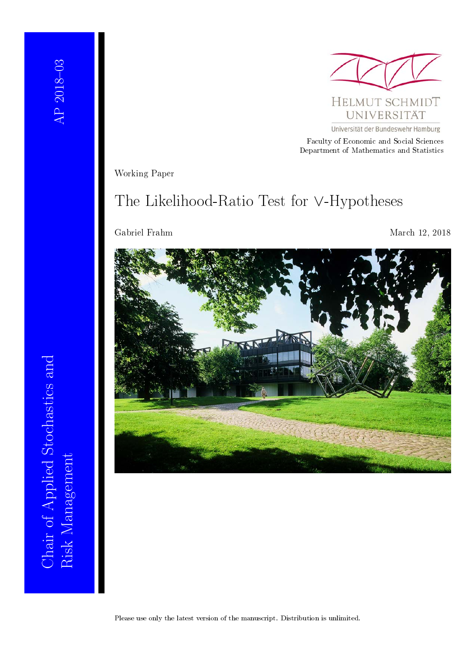

Universität der Bundeswehr Hamburg

Faculty of Economic and Social Sciences Department of Mathematics and Statistics

Working Paper

## The Likelihood-Ratio Test for ∨-Hypotheses

Gabriel Frahm March 12, 2018

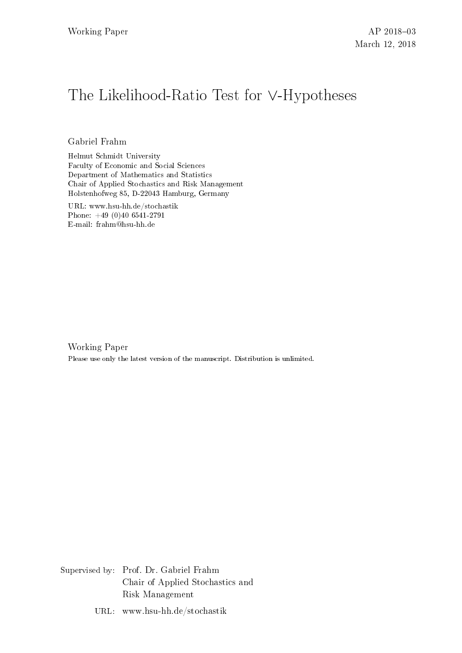# The Likelihood-Ratio Test for ∨-Hypotheses

Gabriel Frahm

Helmut Schmidt University Faculty of Economic and Social Sciences Department of Mathematics and Statistics Chair of Applied Stochastics and Risk Management Holstenhofweg 85, D-22043 Hamburg, Germany

URL: www.hsu-hh.de/stochastik Phone: +49 (0)40 6541-2791 E-mail: frahm@hsu-hh.de

Working Paper Please use only the latest version of the manuscript. Distribution is unlimited.

Supervised by: Prof. Dr. Gabriel Frahm Chair of Applied Stochastics and Risk Management

URL: www.hsu-hh.de/stochastik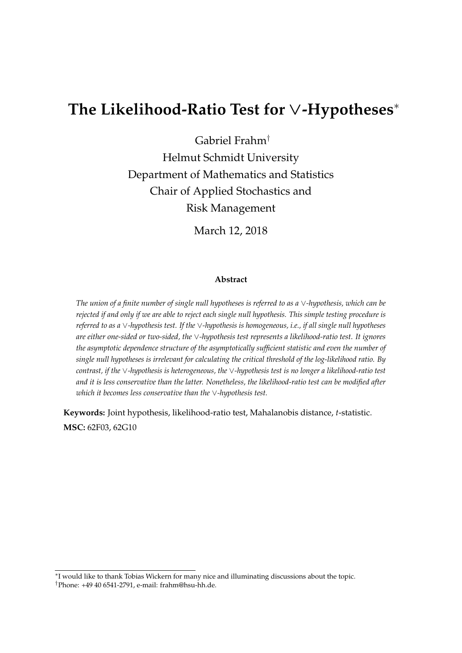## **The Likelihood-Ratio Test for** ∨**-Hypotheses**<sup>∗</sup>

Gabriel Frahm†

Helmut Schmidt University Department of Mathematics and Statistics Chair of Applied Stochastics and Risk Management

March 12, 2018

#### **Abstract**

*The union of a finite number of single null hypotheses is referred to as a* ∨*-hypothesis, which can be rejected if and only if we are able to reject each single null hypothesis. This simple testing procedure is referred to as a* ∨*-hypothesis test. If the* ∨*-hypothesis is homogeneous, i.e., if all single null hypotheses are either one-sided or two-sided, the* ∨*-hypothesis test represents a likelihood-ratio test. It ignores the asymptotic dependence structure of the asymptotically sufficient statistic and even the number of single null hypotheses is irrelevant for calculating the critical threshold of the log-likelihood ratio. By contrast, if the* ∨*-hypothesis is heterogeneous, the* ∨*-hypothesis test is no longer a likelihood-ratio test and it is less conservative than the latter. Nonetheless, the likelihood-ratio test can be modified after which it becomes less conservative than the* ∨*-hypothesis test.*

**Keywords:** Joint hypothesis, likelihood-ratio test, Mahalanobis distance, *t*-statistic. **MSC:** 62F03, 62G10

<sup>∗</sup> I would like to thank Tobias Wickern for many nice and illuminating discussions about the topic.

<sup>†</sup>Phone: +49 40 6541-2791, e-mail: frahm@hsu-hh.de.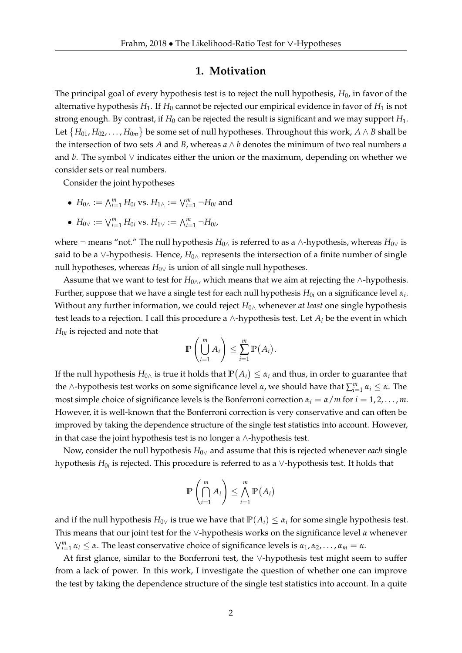#### **1. Motivation**

The principal goal of every hypothesis test is to reject the null hypothesis,  $H_0$ , in favor of the alternative hypothesis  $H_1$ . If  $H_0$  cannot be rejected our empirical evidence in favor of  $H_1$  is not strong enough. By contrast, if  $H_0$  can be rejected the result is significant and we may support  $H_1$ . Let  $\{H_{01},H_{02},\ldots,H_{0m}\}$  be some set of null hypotheses. Throughout this work,  $A\wedge B$  shall be the intersection of two sets  $A$  and  $B$ , whereas  $a \wedge b$  denotes the minimum of two real numbers  $a$ and *b*. The symbol  $\vee$  indicates either the union or the maximum, depending on whether we consider sets or real numbers.

Consider the joint hypotheses

- $H_{0\wedge} := \bigwedge_{i=1}^{m} H_{0i}$  vs.  $H_{1\wedge} := \bigvee_{i=1}^{m} \neg H_{0i}$  and
- $H_{0} \vee \cdots \vee H_{i=1}^m H_{0i}$  vs.  $H_{1} \vee \cdots \wedge H_{i=1}^m \neg H_{0i}$

where ¬ means "not." The null hypothesis *H*0<sup>∧</sup> is referred to as a ∧-hypothesis, whereas *H*0<sup>∨</sup> is said to be a ∨-hypothesis. Hence, *H*<sub>0∧</sub> represents the intersection of a finite number of single null hypotheses, whereas  $H_{0\vee}$  is union of all single null hypotheses.

Assume that we want to test for  $H_{0\wedge}$ , which means that we aim at rejecting the ∧-hypothesis. Further, suppose that we have a single test for each null hypothesis  $H_{0i}$  on a significance level  $\alpha_i$ . Without any further information, we could reject *H*0<sup>∧</sup> whenever *at least* one single hypothesis test leads to a rejection. I call this procedure a ∧-hypothesis test. Let *A<sup>i</sup>* be the event in which  $H_{0i}$  is rejected and note that

$$
\mathbb{P}\left(\bigcup_{i=1}^m A_i\right) \leq \sum_{i=1}^m \mathbb{P}(A_i).
$$

If the null hypothesis  $H_{0\wedge}$  is true it holds that  $\mathbb{P}\big(A_i\big)\leq \alpha_i$  and thus, in order to guarantee that the ∧-hypothesis test works on some significance level  $\alpha$ , we should have that  $\sum_{i=1}^{m} \alpha_i \leq \alpha$ . The most simple choice of significance levels is the Bonferroni correction  $\alpha_i = \alpha/m$  for  $i = 1, 2, \dots, m$ . However, it is well-known that the Bonferroni correction is very conservative and can often be improved by taking the dependence structure of the single test statistics into account. However, in that case the joint hypothesis test is no longer a ∧-hypothesis test.

Now, consider the null hypothesis *H*0<sup>∨</sup> and assume that this is rejected whenever *each* single hypothesis  $H_{0i}$  is rejected. This procedure is referred to as a  $\vee$ -hypothesis test. It holds that

$$
\mathbb{P}\left(\bigcap_{i=1}^m A_i\right) \leq \bigwedge_{i=1}^m \mathbb{P}\left(A_i\right)
$$

and if the null hypothesis  $H_{0\vee}$  is true we have that  $\mathbb{P}(A_i) \leq \alpha_i$  for some single hypothesis test. This means that our joint test for the ∨-hypothesis works on the significance level *α* whenever  $\bigvee_{i=1}^{m} \alpha_i \leq \alpha$ . The least conservative choice of significance levels is  $\alpha_1, \alpha_2, \ldots, \alpha_m = \alpha$ .

At first glance, similar to the Bonferroni test, the ∨-hypothesis test might seem to suffer from a lack of power. In this work, I investigate the question of whether one can improve the test by taking the dependence structure of the single test statistics into account. In a quite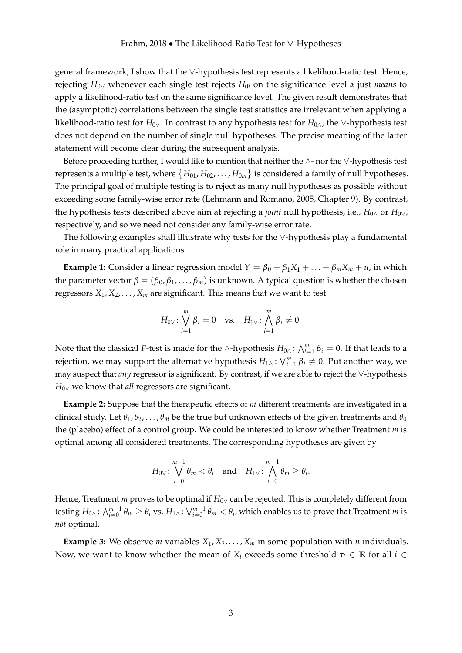general framework, I show that the ∨-hypothesis test represents a likelihood-ratio test. Hence, rejecting *H*0<sup>∨</sup> whenever each single test rejects *H*0*<sup>i</sup>* on the significance level *α* just *means* to apply a likelihood-ratio test on the same significance level. The given result demonstrates that the (asymptotic) correlations between the single test statistics are irrelevant when applying a likelihood-ratio test for *H*0∨. In contrast to any hypothesis test for *H*0∧, the ∨-hypothesis test does not depend on the number of single null hypotheses. The precise meaning of the latter statement will become clear during the subsequent analysis.

Before proceeding further, I would like to mention that neither the ∧- nor the ∨-hypothesis test represents a multiple test, where  $\{H_{01},H_{02},\ldots,H_{0m}\}$  is considered a family of null hypotheses. The principal goal of multiple testing is to reject as many null hypotheses as possible without exceeding some family-wise error rate (Lehmann and Romano, 2005, Chapter 9). By contrast, the hypothesis tests described above aim at rejecting a *joint* null hypothesis, i.e.,  $H_{0\wedge}$  or  $H_{0\vee}$ , respectively, and so we need not consider any family-wise error rate.

The following examples shall illustrate why tests for the ∨-hypothesis play a fundamental role in many practical applications.

**Example 1:** Consider a linear regression model  $Y = \beta_0 + \beta_1 X_1 + \ldots + \beta_m X_m + u$ , in which the parameter vector  $β = (β<sub>0</sub>, β<sub>1</sub>, …, β<sub>m</sub>)$  is unknown. A typical question is whether the chosen regressors  $X_1, X_2, \ldots, X_m$  are significant. This means that we want to test

$$
H_{0\vee} \colon \bigvee_{i=1}^{m} \beta_i = 0 \quad \text{vs.} \quad H_{1\vee} \colon \bigwedge_{i=1}^{m} \beta_i \neq 0.
$$

Note that the classical *F*-test is made for the ∧-hypothesis  $H_{0\wedge}$ :  $\bigwedge_{i=1}^{m} \beta_i = 0$ . If that leads to a rejection, we may support the alternative hypothesis  $H_{1\wedge}$ :  $\bigvee_{i=1}^{m} \beta_i \neq 0$ . Put another way, we may suspect that *any* regressor is significant. By contrast, if we are able to reject the ∨-hypothesis *H*<sub>0∨</sub> we know that *all* regressors are significant.

**Example 2:** Suppose that the therapeutic effects of *m* different treatments are investigated in a clinical study. Let  $\theta_1, \theta_2, \ldots, \theta_m$  be the true but unknown effects of the given treatments and  $\theta_0$ the (placebo) effect of a control group. We could be interested to know whether Treatment *m* is optimal among all considered treatments. The corresponding hypotheses are given by

$$
H_{0\vee}
$$
:  $\bigvee_{i=0}^{m-1} \theta_m < \theta_i$  and  $H_{1\vee}$ :  $\bigwedge_{i=0}^{m-1} \theta_m \ge \theta_i$ .

Hence, Treatment *m* proves to be optimal if  $H_{0\vee}$  can be rejected. This is completely different from testing  $H_{0\wedge}$  :  $\bigwedge_{i=0}^{m-1}\theta_m\geq\theta_i$  vs.  $H_{1\wedge}$  :  $\bigvee_{i=0}^{m-1}\theta_m<\theta_i$ , which enables us to prove that Treatment  $m$  is *not* optimal.

**Example 3:** We observe *m* variables  $X_1, X_2, \ldots, X_m$  in some population with *n* individuals. Now, we want to know whether the mean of  $X_i$  exceeds some threshold  $\tau_i \in \mathbb{R}$  for all  $i \in$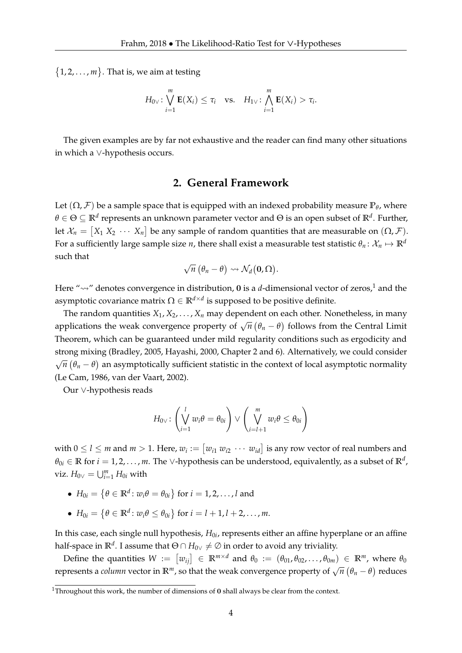$\{1, 2, \ldots, m\}$ . That is, we aim at testing

$$
H_{0\vee} \colon \bigvee_{i=1}^{m} \mathbf{E}(X_i) \leq \tau_i \quad \text{vs.} \quad H_{1\vee} \colon \bigwedge_{i=1}^{m} \mathbf{E}(X_i) > \tau_i.
$$

The given examples are by far not exhaustive and the reader can find many other situations in which a ∨-hypothesis occurs.

## **2. General Framework**

Let  $(\Omega, \mathcal{F})$  be a sample space that is equipped with an indexed probability measure  $\mathbb{P}_{\theta}$ , where *θ* ∈ Θ ⊆ **R***<sup>d</sup>* represents an unknown parameter vector and Θ is an open subset of **R***<sup>d</sup>* . Further, let  $\mathcal{X}_n = [X_1 \ X_2 \ \cdots \ X_n]$  be any sample of random quantities that are measurable on  $(\Omega, \mathcal{F})$ . For a sufficiently large sample size *n*, there shall exist a measurable test statistic  $\theta_n: \mathcal{X}_n \mapsto \mathbb{R}^d$ such that √

$$
\sqrt{n}(\theta_n-\theta) \rightsquigarrow \mathcal{N}_d(\mathbf{0},\Omega).
$$

Here " $\sim$ " denotes convergence in distribution, 0 is a *d*-dimensional vector of zeros,<sup>1</sup> and the asymptotic covariance matrix  $\Omega \in \mathbb{R}^{d \times d}$  is supposed to be positive definite.

The random quantities  $X_1, X_2, \ldots, X_n$  may dependent on each other. Nonetheless, in many applications the weak convergence property of  $\sqrt{n}(\theta_n - \theta)$  follows from the Central Limit applications the weak convergence property of  $\sqrt{n}(\theta_n - \theta)$  follows from the Central Limit Theorem, which can be guaranteed under mild regularity conditions such as ergodicity and strong mixing (Bradley, 2005, Hayashi, 2000, Chapter 2 and 6). Alternatively, we could consider √  $\overline{n}\left(\theta_{n}-\theta\right)$  an asymptotically sufficient statistic in the context of local asymptotic normality (Le Cam, 1986, van der Vaart, 2002).

Our ∨-hypothesis reads

$$
H_{0\vee} \colon \left(\bigvee_{i=1}^{l} w_{i} \theta = \theta_{0i}\right) \vee \left(\bigvee_{i=l+1}^{m} w_{i} \theta \leq \theta_{0i}\right)
$$

with  $0 \leq l \leq m$  and  $m > 1$ . Here,  $w_i := [w_{i1} w_{i2} \cdots w_{id}]$  is any row vector of real numbers and  $\theta_{0i}\in\mathbb{R}$  for  $i=1,2,\ldots,m.$  The ∨-hypothesis can be understood, equivalently, as a subset of  $\mathbb{R}^d$ ,  $\text{viz. } H_{0}$ ∨ =  $\bigcup_{i=1}^{m} H_{0i}$  with

- $\bullet$   $H_{0i} = \left\{\theta \in \mathbb{R}^d \colon w_i \theta = \theta_{0i}\right\}$  for  $i = 1, 2, \ldots, l$  and
- $H_{0i} = \{ \theta \in \mathbb{R}^d : w_i \theta \le \theta_{0i} \}$  for  $i = l + 1, l + 2, ..., m$ .

In this case, each single null hypothesis,  $H_{0i}$ , represents either an affine hyperplane or an affine half-space in  $\mathbb{R}^d.$  I assume that  $\Theta \cap H_{0\vee} \neq \varnothing$  in order to avoid any triviality.

Define the quantities  $W := [w_{ij}] \in \mathbb{R}^{m \times d}$  and  $\theta_0 := (\theta_{01}, \theta_{02}, \dots, \theta_{0m}) \in \mathbb{R}^m$ , where  $\theta_0$ represents a *column* vector in  $\mathbb{R}^m$ , so that the weak convergence property of  $\sqrt{n} (\theta_n - \theta)$  reduces

<sup>&</sup>lt;sup>1</sup>Throughout this work, the number of dimensions of  $0$  shall always be clear from the context.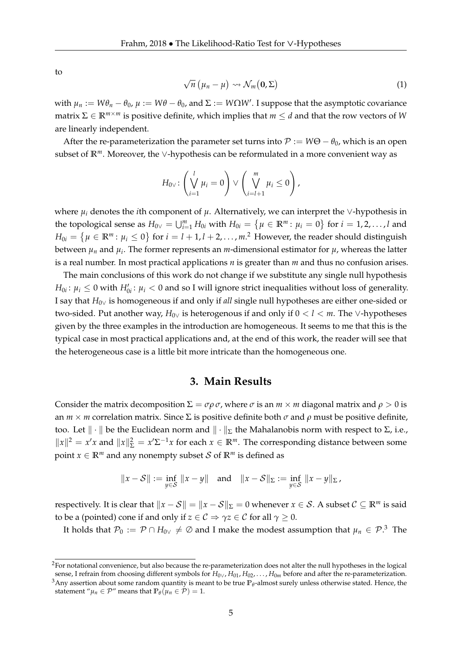to

$$
\sqrt{n} \left( \mu_n - \mu \right) \rightsquigarrow \mathcal{N}_m \left( \mathbf{0}, \Sigma \right) \tag{1}
$$

with  $\mu_n := W\theta_n - \theta_0$ ,  $\mu := W\theta - \theta_0$ , and  $\Sigma := W\Omega W'$ . I suppose that the asymptotic covariance matrix  $\Sigma \in \mathbb{R}^{m \times m}$  is positive definite, which implies that  $m \leq d$  and that the row vectors of *W* are linearly independent.

After the re-parameterization the parameter set turns into  $P := W\Theta - \theta_0$ , which is an open subset of **R***m*. Moreover, the ∨-hypothesis can be reformulated in a more convenient way as

$$
H_{0\vee}:\left(\bigvee_{i=1}^{l}\mu_{i}=0\right)\vee\left(\bigvee_{i=l+1}^{m}\mu_{i}\leq 0\right),\right
$$

where  $\mu_i$  denotes the *i*th component of  $\mu$ . Alternatively, we can interpret the ∨-hypothesis in the topological sense as  $H_{0\vee} = \bigcup_{i=1}^m H_{0i}$  with  $H_{0i} = \{ \mu \in \mathbb{R}^m : \mu_i = 0 \}$  for  $i = 1, 2, \ldots, l$  and  $H_{0i} = \left\{ \mu \in \mathbb{R}^m \colon \mu_i \leq 0 \right\}$  for  $i = l + 1, l + 2, \ldots, m.$   $^2$  However, the reader should distinguish between  $\mu_n$  and  $\mu_i.$  The former represents an  $m$ -dimensional estimator for  $\mu$ , whereas the latter is a real number. In most practical applications *n* is greater than *m* and thus no confusion arises.

The main conclusions of this work do not change if we substitute any single null hypothesis  $H_{0i}$ :  $\mu_i \leq 0$  with  $H'_{0i}$ :  $\mu_i < 0$  and so I will ignore strict inequalities without loss of generality. I say that *H*0<sup>∨</sup> is homogeneous if and only if *all* single null hypotheses are either one-sided or two-sided. Put another way, *H*0<sup>∨</sup> is heterogenous if and only if 0 < *l* < *m*. The ∨-hypotheses given by the three examples in the introduction are homogeneous. It seems to me that this is the typical case in most practical applications and, at the end of this work, the reader will see that the heterogeneous case is a little bit more intricate than the homogeneous one.

### **3. Main Results**

Consider the matrix decomposition  $\Sigma = \sigma \rho \sigma$ , where  $\sigma$  is an  $m \times m$  diagonal matrix and  $\rho > 0$  is an  $m \times m$  correlation matrix. Since  $\Sigma$  is positive definite both  $\sigma$  and  $\rho$  must be positive definite, too. Let  $\|\cdot\|$  be the Euclidean norm and  $\|\cdot\|_{\Sigma}$  the Mahalanobis norm with respect to Σ, i.e.,  $||x||^2 = x'x$  and  $||x||^2_{\Sigma} = x'\Sigma^{-1}x$  for each  $x \in \mathbb{R}^m$ . The corresponding distance between some point  $x \in \mathbb{R}^m$  and any nonempty subset S of  $\mathbb{R}^m$  is defined as

$$
||x - S|| := \inf_{y \in S} ||x - y||
$$
 and  $||x - S||_{\Sigma} := \inf_{y \in S} ||x - y||_{\Sigma}$ ,

respectively. It is clear that  $||x - S|| = ||x - S||_{\Sigma} = 0$  whenever  $x \in S$ . A subset  $C \subseteq \mathbb{R}^m$  is said to be a (pointed) cone if and only if  $z \in C \Rightarrow \gamma z \in C$  for all  $\gamma \geq 0$ .

It holds that  $\mathcal{P}_0 := \mathcal{P} \cap H_{0\vee} \neq \emptyset$  and I make the modest assumption that  $\mu_n \in \mathcal{P}.^3$  The

 ${}^{2}$ For notational convenience, but also because the re-parameterization does not alter the null hypotheses in the logical sense, I refrain from choosing different symbols for *H*0∨, *H*01, *H*02, . . . , *H*0*<sup>m</sup>* before and after the re-parameterization.  $3$ Any assertion about some random quantity is meant to be true  $\mathbb{P}_{\theta}$ -almost surely unless otherwise stated. Hence, the statement " $\mu_n \in \mathcal{P}$ " means that  $\mathbb{P}_{\theta}(\mu_n \in \mathcal{P}) = 1$ .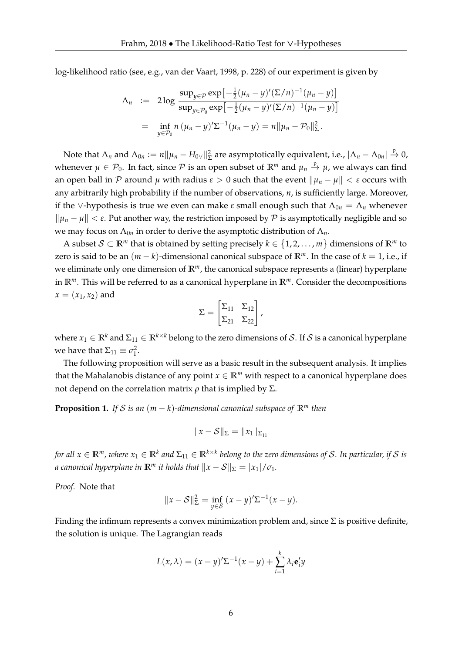log-likelihood ratio (see, e.g., van der Vaart, 1998, p. 228) of our experiment is given by

$$
\Lambda_n := 2 \log \frac{\sup_{y \in \mathcal{P}} \exp \left[-\frac{1}{2} (\mu_n - y)'(\Sigma/n)^{-1} (\mu_n - y)\right]}{\sup_{y \in \mathcal{P}_0} \exp \left[-\frac{1}{2} (\mu_n - y)'(\Sigma/n)^{-1} (\mu_n - y)\right]}
$$
  
= 
$$
\inf_{y \in \mathcal{P}_0} n (\mu_n - y)' \Sigma^{-1} (\mu_n - y) = n ||\mu_n - \mathcal{P}_0||_{\Sigma}^2.
$$

Note that  $\Lambda_n$  and  $\Lambda_{0n}:=n\|\mu_n-H_{0\vee}\|_{\Sigma}^2$  are asymptotically equivalent, i.e.,  $|\Lambda_n-\Lambda_{0n}|\stackrel{\mathbb{P}}{\to} 0$ , whenever  $\mu \in \mathcal{P}_0$ . In fact, since  $\mathcal P$  is an open subset of  $\mathbb R^m$  and  $\mu_n \stackrel{p}{\to} \mu$ , we always can find an open ball in P around  $\mu$  with radius  $\varepsilon > 0$  such that the event  $\|\mu_n - \mu\| < \varepsilon$  occurs with any arbitrarily high probability if the number of observations, *n*, is sufficiently large. Moreover, if the ∨-hypothesis is true we even can make *ε* small enough such that  $Λ_{0n} = Λ_n$  whenever  $\|\mu_n - \mu\| < \varepsilon$ . Put another way, the restriction imposed by P is asymptotically negligible and so we may focus on  $\Lambda_{0n}$  in order to derive the asymptotic distribution of  $\Lambda_n$ .

A subset  $S \subset \mathbb{R}^m$  that is obtained by setting precisely  $k \in \{1, 2, \ldots, m\}$  dimensions of  $\mathbb{R}^m$  to zero is said to be an  $(m - k)$ -dimensional canonical subspace of  $\mathbb{R}^m$ . In the case of  $k = 1$ , i.e., if we eliminate only one dimension of **R***m*, the canonical subspace represents a (linear) hyperplane in **R***m*. This will be referred to as a canonical hyperplane in **R***m*. Consider the decompositions  $x = (x_1, x_2)$  and

$$
\Sigma = \begin{bmatrix} \Sigma_{11} & \Sigma_{12} \\ \Sigma_{21} & \Sigma_{22} \end{bmatrix},
$$

where  $x_1 \in \mathbb{R}^k$  and  $\Sigma_{11} \in \mathbb{R}^{k \times k}$  belong to the zero dimensions of S. If S is a canonical hyperplane we have that  $\Sigma_{11} \equiv \sigma_1^2$ .

The following proposition will serve as a basic result in the subsequent analysis. It implies that the Mahalanobis distance of any point  $x \in \mathbb{R}^m$  with respect to a canonical hyperplane does not depend on the correlation matrix  $ρ$  that is implied by Σ.

**Proposition 1.** *If* S *is an*  $(m - k)$ *-dimensional canonical subspace of*  $\mathbb{R}^m$  *then* 

$$
||x - S||_{\Sigma} = ||x_1||_{\Sigma_{11}}
$$

 $f$ or all  $x\in\mathbb{R}^m$  , where  $x_1\in\mathbb{R}^k$  and  $\Sigma_{11}\in\mathbb{R}^{k\times k}$  belong to the zero dimensions of  $\mathcal S.$  In particular, if  $\mathcal S$  is *a* canonical hyperplane in  $\mathbb{R}^m$  it holds that  $||x - S||_{\Sigma} = |x_1| / \sigma_1$ .

*Proof.* Note that

$$
||x - S||_{\Sigma}^{2} = \inf_{y \in S} (x - y)^{\prime} \Sigma^{-1} (x - y).
$$

Finding the infimum represents a convex minimization problem and, since  $\Sigma$  is positive definite, the solution is unique. The Lagrangian reads

$$
L(x,\lambda) = (x-y)^{\prime} \Sigma^{-1} (x-y) + \sum_{i=1}^{k} \lambda_i \mathbf{e}_i^{\prime} y
$$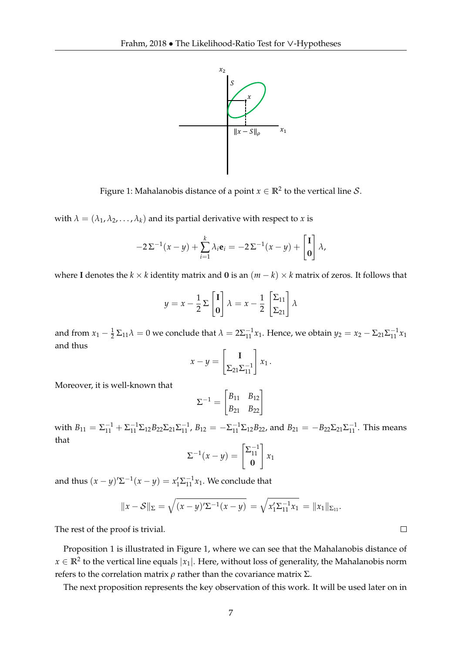

Figure 1: Mahalanobis distance of a point  $x \in \mathbb{R}^2$  to the vertical line  $\mathcal{S}.$ 

with  $\lambda = (\lambda_1, \lambda_2, \dots, \lambda_k)$  and its partial derivative with respect to *x* is

$$
-2\Sigma^{-1}(x-y)+\sum_{i=1}^k\lambda_i\mathbf{e}_i=-2\Sigma^{-1}(x-y)+\begin{bmatrix}\mathbf{I}\\ \mathbf{0}\end{bmatrix}\lambda,
$$

where **I** denotes the *k* × *k* identity matrix and **0** is an  $(m - k) \times k$  matrix of zeros. It follows that

$$
y = x - \frac{1}{2} \sum \begin{bmatrix} 1 \\ 0 \end{bmatrix} \lambda = x - \frac{1}{2} \begin{bmatrix} \sum_{11} \\ \sum_{21} \end{bmatrix} \lambda
$$

and from  $x_1 - \frac{1}{2} \Sigma_{11} \lambda = 0$  we conclude that  $\lambda = 2\Sigma_{11}^{-1} x_1$ . Hence, we obtain  $y_2 = x_2 - \Sigma_{21} \Sigma_{11}^{-1} x_1$ and thus

$$
x - y = \begin{bmatrix} \mathbf{I} \\ \Sigma_{21} \Sigma_{11}^{-1} \end{bmatrix} x_1.
$$

Moreover, it is well-known that

$$
\Sigma^{-1} = \begin{bmatrix} B_{11} & B_{12} \\ B_{21} & B_{22} \end{bmatrix}
$$

with  $B_{11} = \sum_{11}^{-1} + \sum_{11}^{-1} \sum_{12} B_{22} \sum_{21} \sum_{11}^{-1}$ ,  $B_{12} = -\sum_{11}^{-1} \sum_{12} B_{22}$ , and  $B_{21} = -B_{22} \sum_{21} \sum_{11}^{-1}$ . This means that

$$
\Sigma^{-1}(x-y) = \begin{bmatrix} \Sigma_{11}^{-1} \\ \mathbf{0} \end{bmatrix} x_1
$$

and thus  $(x - y)'\Sigma^{-1}(x - y) = x'_1\Sigma^{-1}_{11}x_1$ . We conclude that

$$
||x - S||_{\Sigma} = \sqrt{(x - y)^{\prime} \Sigma^{-1} (x - y)} = \sqrt{x_1^{\prime} \Sigma_{11}^{-1} x_1} = ||x_1||_{\Sigma_{11}}.
$$

The rest of the proof is trivial.

Proposition 1 is illustrated in Figure 1, where we can see that the Mahalanobis distance of  $x \in \mathbb{R}^2$  to the vertical line equals  $|x_1|.$  Here, without loss of generality, the Mahalanobis norm refers to the correlation matrix *ρ* rather than the covariance matrix Σ.

The next proposition represents the key observation of this work. It will be used later on in

 $\Box$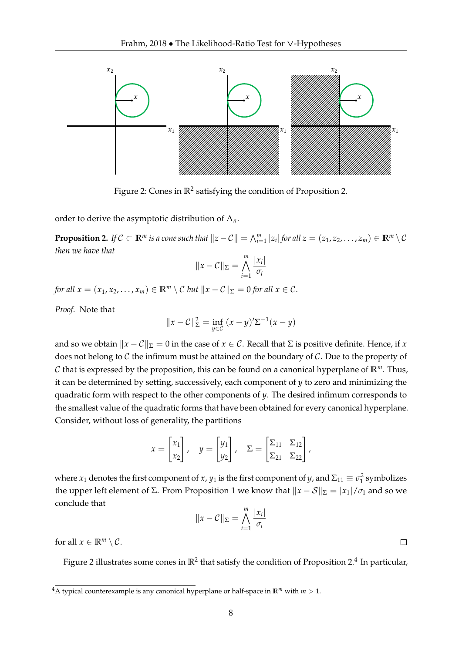

Figure 2: Cones in  $\mathbb{R}^2$  satisfying the condition of Proposition 2.

order to derive the asymptotic distribution of Λ*n*.

**Proposition 2.** If  $C \subset \mathbb{R}^m$  is a cone such that  $||z - C|| = \bigwedge_{i=1}^m |z_i|$  for all  $z = (z_1, z_2, \dots, z_m) \in \mathbb{R}^m \setminus C$ *then we have that*

$$
||x - C||_{\Sigma} = \bigwedge_{i=1}^{m} \frac{|x_i|}{\sigma_i}
$$

*for all*  $x = (x_1, x_2, \dots, x_m) \in \mathbb{R}^m \setminus C$  *but*  $||x - C||_{\Sigma} = 0$  *for all*  $x \in C$ *.* 

*Proof.* Note that

$$
||x - C||_{\Sigma}^{2} = \inf_{y \in C} (x - y)^{\prime} \Sigma^{-1} (x - y)
$$

and so we obtain  $\|x - C\|_{\Sigma} = 0$  in the case of  $x \in C$ . Recall that  $\Sigma$  is positive definite. Hence, if *x* does not belong to  $C$  the infimum must be attained on the boundary of  $C$ . Due to the property of C that is expressed by the proposition, this can be found on a canonical hyperplane of  $\mathbb{R}^m$ . Thus, it can be determined by setting, successively, each component of *y* to zero and minimizing the quadratic form with respect to the other components of *y*. The desired infimum corresponds to the smallest value of the quadratic forms that have been obtained for every canonical hyperplane. Consider, without loss of generality, the partitions

$$
x = \begin{bmatrix} x_1 \\ x_2 \end{bmatrix}, \quad y = \begin{bmatrix} y_1 \\ y_2 \end{bmatrix}, \quad \Sigma = \begin{bmatrix} \Sigma_{11} & \Sigma_{12} \\ \Sigma_{21} & \Sigma_{22} \end{bmatrix},
$$

where  $x_1$  denotes the first component of  $x$ ,  $y_1$  is the first component of  $y$ , and  $\Sigma_{11} \equiv \sigma_1^2$  symbolizes the upper left element of Σ. From Proposition 1 we know that  $||x - S||_{\Sigma} = |x_1| / \sigma_1$  and so we conclude that

$$
||x - C||_{\Sigma} = \bigwedge_{i=1}^{m} \frac{|x_i|}{\sigma_i}
$$

for all  $x \in \mathbb{R}^m \setminus C$ .

Figure 2 illustrates some cones in  $\mathbb{R}^2$  that satisfy the condition of Proposition 2.<sup>4</sup> In particular,

 $\Box$ 

<sup>&</sup>lt;sup>4</sup>A typical counterexample is any canonical hyperplane or half-space in  $\mathbb{R}^m$  with  $m > 1$ .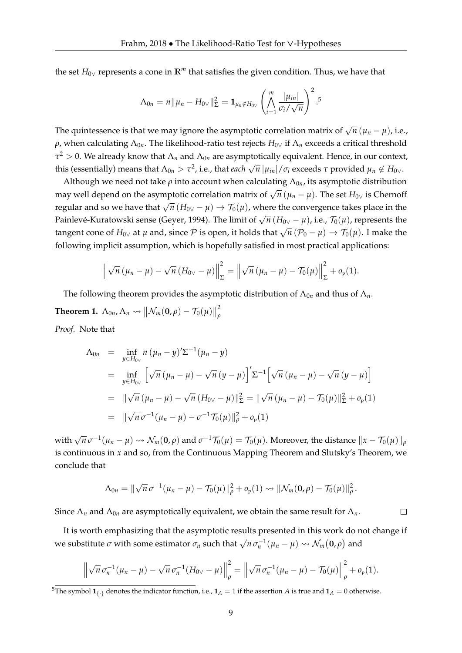the set *H*0<sup>∨</sup> represents a cone in **R***<sup>m</sup>* that satisfies the given condition. Thus, we have that

$$
\Lambda_{0n} = n \|\mu_n - H_{0\vee}\|_{\Sigma}^2 = \mathbf{1}_{\mu_n \notin H_{0\vee}} \left( \bigwedge_{i=1}^m \frac{|\mu_{in}|}{\sigma_i / \sqrt{n}} \right)^2.
$$

The quintessence is that we may ignore the asymptotic correlation matrix of  $\sqrt{n}$   $(\mu_n - \mu)$ , i.e.,  $ρ$ , when calculating  $Λ_{0n}$ . The likelihood-ratio test rejects  $H_{0\vee}$  if  $Λ_n$  exceeds a critical threshold  $τ<sup>2</sup> > 0$ . We already know that  $Λ<sub>n</sub>$  and  $Λ<sub>0n</sub>$  are asymptotically equivalent. Hence, in our context, this (essentially) means that  $\Lambda_{0n} > \tau^2$ , i.e., that *each*  $\sqrt{n} |\mu_{in}| / \sigma_i$  exceeds  $\tau$  provided  $\mu_n \notin H_{0} \vee$ .

Although we need not take  $\rho$  into account when calculating  $\Lambda_{0n}$ , its asymptotic distribution may well depend on the asymptotic correlation matrix of  $\sqrt{n}$  ( $\mu_n - \mu$ ). The set  $H_{0\nu}$  is Chernoff regular and so we have that  $\sqrt{n}$  ( $H_{0\nu} - \mu$ )  $\rightarrow T_0(\mu)$ , where the convergence takes place in the Painlevé-Kuratowski sense (Geyer, 1994). The limit of  $\sqrt{n}$  ( $H_{0\nu} - \mu$ ), i.e.,  $\mathcal{T}_0(\mu)$ , represents the tangent cone of *H*<sub>0∨</sub> at *µ* and, since *P* is open, it holds that  $\sqrt{n}$  (*P*<sub>0</sub> − *µ*) → *T*<sub>0</sub>(*µ*). I make the following implicit assumption, which is hopefully satisfied in most practical applications:

$$
\left\|\sqrt{n}\left(\mu_n-\mu\right)-\sqrt{n}\left(H_{0\vee}-\mu\right)\right\|_{\Sigma}^2=\left\|\sqrt{n}\left(\mu_n-\mu\right)-\mathcal{T}_0(\mu)\right\|_{\Sigma}^2+o_{\mathrm{P}}(1).
$$

The following theorem provides the asymptotic distribution of  $\Lambda_{0n}$  and thus of  $\Lambda_n$ . **Theorem 1.**  $\Lambda_{0n}$ ,  $\Lambda_n \rightsquigarrow \|\mathcal{N}_m(\mathbf{0}, \rho) - \mathcal{T}_0(\mu)\|$ 2 *ρ Proof.* Note that

$$
\begin{array}{rcl}\n\Lambda_{0n} & = & \inf_{y \in H_{0\nu}} n \left( \mu_n - y \right)^{\prime} \Sigma^{-1} (\mu_n - y) \\
& = & \inf_{y \in H_{0\nu}} \left[ \sqrt{n} \left( \mu_n - \mu \right) - \sqrt{n} \left( y - \mu \right) \right]^{\prime} \Sigma^{-1} \left[ \sqrt{n} \left( \mu_n - \mu \right) - \sqrt{n} \left( y - \mu \right) \right] \\
& = & \|\sqrt{n} \left( \mu_n - \mu \right) - \sqrt{n} \left( H_{0\nu} - \mu \right) \|^2_{\Sigma} = \|\sqrt{n} \left( \mu_n - \mu \right) - \mathcal{T}_0(\mu) \|^2_{\Sigma} + o_{\mathfrak{p}}(1) \\
& = & \|\sqrt{n} \sigma^{-1} (\mu_n - \mu) - \sigma^{-1} \mathcal{T}_0(\mu) \|^2_{\rho} + o_{\mathfrak{p}}(1)\n\end{array}
$$

with  $\sqrt{n} \sigma^{-1}(\mu_n - \mu) \rightsquigarrow \mathcal{N}_m(\mathbf{0}, \rho)$  and  $\sigma^{-1}\mathcal{T}_0(\mu) = \mathcal{T}_0(\mu)$ . Moreover, the distance  $||x - \mathcal{T}_0(\mu)||_\rho$ is continuous in *x* and so, from the Continuous Mapping Theorem and Slutsky's Theorem, we conclude that

$$
\Lambda_{0n} = \|\sqrt{n}\,\sigma^{-1}(\mu_n - \mu) - \mathcal{T}_0(\mu)\|_{\rho}^2 + o_{\mathrm{p}}(1) \rightsquigarrow \|\mathcal{N}_m(\mathbf{0}, \rho) - \mathcal{T}_0(\mu)\|_{\rho}^2.
$$

 $\Box$ 

Since  $\Lambda_n$  and  $\Lambda_{0n}$  are asymptotically equivalent, we obtain the same result for  $\Lambda_n$ .

It is worth emphasizing that the asymptotic results presented in this work do not change if we substitute *σ* with some estimator  $σ_n$  such that  $\sqrt{n} σ_n^{-1}(μ_n - μ) \rightsquigarrow \mathcal{N}_m(\mathbf{0}, \rho)$  and

$$
\left\|\sqrt{n}\,\sigma_n^{-1}(\mu_n-\mu)-\sqrt{n}\,\sigma_n^{-1}(H_{0\vee}-\mu)\right\|_{\rho}^2=\left\|\sqrt{n}\,\sigma_n^{-1}(\mu_n-\mu)-\mathcal{T}_0(\mu)\right\|_{\rho}^2+o_{\mathfrak{p}}(1).
$$

<sup>&</sup>lt;sup>5</sup>The symbol  $\mathbf{1}_{\{.\}}$  denotes the indicator function, i.e.,  $\mathbf{1}_A = 1$  if the assertion *A* is true and  $\mathbf{1}_A = 0$  otherwise.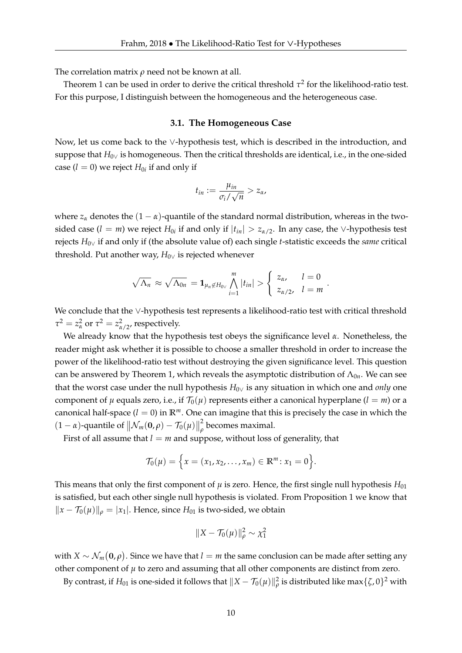The correlation matrix  $\rho$  need not be known at all.

Theorem 1 can be used in order to derive the critical threshold  $\tau^2$  for the likelihood-ratio test. For this purpose, I distinguish between the homogeneous and the heterogeneous case.

#### **3.1. The Homogeneous Case**

Now, let us come back to the ∨-hypothesis test, which is described in the introduction, and suppose that *H*<sub>0∨</sub> is homogeneous. Then the critical thresholds are identical, i.e., in the one-sided case  $(l = 0)$  we reject  $H_{0i}$  if and only if

$$
t_{in}:=\frac{\mu_{in}}{\sigma_i/\sqrt{n}}>z_\alpha,
$$

where  $z_\alpha$  denotes the  $(1 - \alpha)$ -quantile of the standard normal distribution, whereas in the twosided case (*l* = *m*) we reject  $H_{0i}$  if and only if  $|t_{in}| > z_{\alpha/2}$ . In any case, the ∨-hypothesis test rejects *H*0<sup>∨</sup> if and only if (the absolute value of) each single *t*-statistic exceeds the *same* critical threshold. Put another way,  $H_{0\vee}$  is rejected whenever

$$
\sqrt{\Lambda_n} \approx \sqrt{\Lambda_{0n}} = \mathbf{1}_{\mu_n \notin H_{0} \vee} \bigwedge_{i=1}^m |t_{in}| > \begin{cases} z_{\alpha}, & l=0\\ z_{\alpha/2}, & l=m \end{cases}
$$

.

We conclude that the ∨-hypothesis test represents a likelihood-ratio test with critical threshold  $\tau^2 = z_\alpha^2$  or  $\tau^2 = z_{\alpha/2}^2$ , respectively.

We already know that the hypothesis test obeys the significance level *α*. Nonetheless, the reader might ask whether it is possible to choose a smaller threshold in order to increase the power of the likelihood-ratio test without destroying the given significance level. This question can be answered by Theorem 1, which reveals the asymptotic distribution of  $\Lambda_{0n}$ . We can see that the worst case under the null hypothesis *H*0<sup>∨</sup> is any situation in which one and *only* one component of  $\mu$  equals zero, i.e., if  $\mathcal{T}_0(\mu)$  represents either a canonical hyperplane ( $l = m$ ) or a canonical half-space  $(l = 0)$  in  $\mathbb{R}^m$ . One can imagine that this is precisely the case in which the  $(1 - \alpha)$ -quantile of  $\|\mathcal{N}_m(\mathbf{0}, \rho) - \mathcal{T}_0(\mu)\|$ 2 *ρ* becomes maximal.

First of all assume that  $l = m$  and suppose, without loss of generality, that

$$
\mathcal{T}_0(\mu) = \Big\{ x = (x_1, x_2, \dots, x_m) \in \mathbb{R}^m \colon x_1 = 0 \Big\}.
$$

This means that only the first component of  $\mu$  is zero. Hence, the first single null hypothesis  $H_{01}$ is satisfied, but each other single null hypothesis is violated. From Proposition 1 we know that  $||x - T_0(\mu)||_\rho = |x_1|$ . Hence, since  $H_{01}$  is two-sided, we obtain

$$
||X - \mathcal{T}_0(\mu)||_\rho^2 \sim \chi_1^2
$$

with  $X \sim \mathcal{N}_m(\mathbf{0},\rho).$  Since we have that  $l=m$  the same conclusion can be made after setting any other component of  $\mu$  to zero and assuming that all other components are distinct from zero.

By contrast, if  $H_{01}$  is one-sided it follows that  $\|X-\mathcal{T}_0(\mu)\|^2_\rho$  is distributed like max $\{\zeta,0\}^2$  with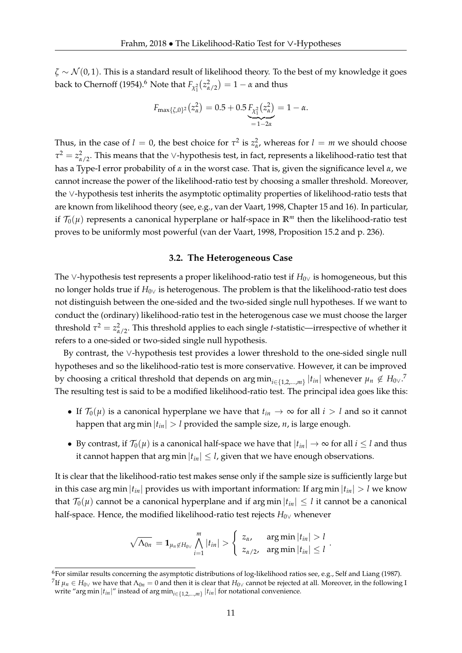$\zeta \sim \mathcal{N}(0, 1)$ . This is a standard result of likelihood theory. To the best of my knowledge it goes back to Chernoff (1954).<sup>6</sup> Note that  $F_{\chi_1^2}(z^2_{\alpha/2}) = 1 - \alpha$  and thus

$$
F_{\max\{\zeta,0\}^2}(z_\alpha^2) = 0.5 + 0.5 \underbrace{F_{\chi_1^2}(z_\alpha^2)}_{=1-2\alpha} = 1 - \alpha.
$$

Thus, in the case of  $l = 0$ , the best choice for  $\tau^2$  is  $z^2_{\alpha}$ , whereas for  $l = m$  we should choose  $\tau^2 = z_{\alpha/2}^2$ . This means that the ∨-hypothesis test, in fact, represents a likelihood-ratio test that has a Type-I error probability of *α* in the worst case. That is, given the significance level *α*, we cannot increase the power of the likelihood-ratio test by choosing a smaller threshold. Moreover, the ∨-hypothesis test inherits the asymptotic optimality properties of likelihood-ratio tests that are known from likelihood theory (see, e.g., van der Vaart, 1998, Chapter 15 and 16). In particular, if  $\mathcal{T}_0(\mu)$  represents a canonical hyperplane or half-space in  $\mathbb{R}^m$  then the likelihood-ratio test proves to be uniformly most powerful (van der Vaart, 1998, Proposition 15.2 and p. 236).

#### **3.2. The Heterogeneous Case**

The ∨-hypothesis test represents a proper likelihood-ratio test if *H*<sub>0∨</sub> is homogeneous, but this no longer holds true if *H*0<sup>∨</sup> is heterogenous. The problem is that the likelihood-ratio test does not distinguish between the one-sided and the two-sided single null hypotheses. If we want to conduct the (ordinary) likelihood-ratio test in the heterogenous case we must choose the larger threshold  $\tau^2 = z_{\alpha/2}^2$ . This threshold applies to each single *t*-statistic—irrespective of whether it refers to a one-sided or two-sided single null hypothesis.

By contrast, the ∨-hypothesis test provides a lower threshold to the one-sided single null hypotheses and so the likelihood-ratio test is more conservative. However, it can be improved by choosing a critical threshold that depends on  $\argmin_{i \in \{1,2,...,m\}} |t_{in}|$  whenever  $\mu_n \notin H_{0} \vee F$ . The resulting test is said to be a modified likelihood-ratio test. The principal idea goes like this:

- If  $\mathcal{T}_0(\mu)$  is a canonical hyperplane we have that  $t_{in} \to \infty$  for all  $i > l$  and so it cannot happen that arg min  $|t_{in}| > l$  provided the sample size, *n*, is large enough.
- By contrast, if  $\mathcal{T}_0(\mu)$  is a canonical half-space we have that  $|t_{in}| \to \infty$  for all  $i \leq l$  and thus it cannot happen that arg min  $|t_{in}| \leq l$ , given that we have enough observations.

It is clear that the likelihood-ratio test makes sense only if the sample size is sufficiently large but in this case arg min  $|t_{in}|$  provides us with important information: If arg min  $|t_{in}| > l$  we know that  $\mathcal{T}_0(\mu)$  cannot be a canonical hyperplane and if arg min  $|t_{in}| \leq l$  it cannot be a canonical half-space. Hence, the modified likelihood-ratio test rejects *H*0<sup>∨</sup> whenever

$$
\sqrt{\Lambda_{0n}} = \mathbf{1}_{\mu_n \notin H_{0} \vee} \bigwedge_{i=1}^m |t_{in}| > \begin{cases} z_\alpha, & \text{arg min } |t_{in}| > l \\ z_{\alpha/2}, & \text{arg min } |t_{in}| \leq l \end{cases}.
$$

 $6$ For similar results concerning the asymptotic distributions of log-likelihood ratios see, e.g., Self and Liang (1987).

 $^7$ If  $\mu_n\in H_{0\vee}$  we have that  $\Lambda_{0n}=0$  and then it is clear that  $H_{0\vee}$  cannot be rejected at all. Moreover, in the following I write "arg min |*tin*|" instead of arg min*i*∈{1,2,...,*m*} |*tin*| for notational convenience.